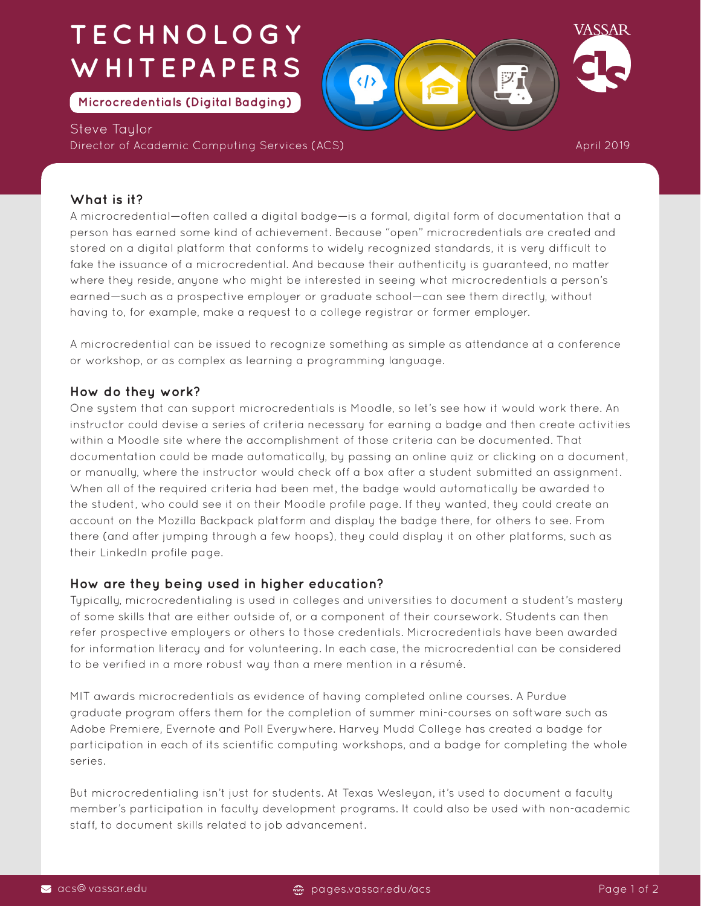# **TECHNOLOGY WHITEPAPERS**

**Microcredentials (Digital Badging)**

Steve Taylor Director of Academic Computing Services (ACS)



April 2019

### **What is it?**

A microcredential—often called a digital badge—is a formal, digital form of documentation that a person has earned some kind of achievement. Because "open" microcredentials are created and stored on a digital platform that conforms to widely recognized standards, it is very difficult to fake the issuance of a microcredential. And because their authenticity is guaranteed, no matter where they reside, anyone who might be interested in seeing what microcredentials a person's earned—such as a prospective employer or graduate school—can see them directly, without having to, for example, make a request to a college registrar or former employer.

A microcredential can be issued to recognize something as simple as attendance at a conference or workshop, or as complex as learning a programming language.

#### **How do they work?**

One system that can support microcredentials is Moodle, so let's see how it would work there. An instructor could devise a series of criteria necessary for earning a badge and then create activities within a Moodle site where the accomplishment of those criteria can be documented. That documentation could be made automatically, by passing an online quiz or clicking on a document, or manually, where the instructor would check off a box after a student submitted an assignment. When all of the required criteria had been met, the badge would automatically be awarded to the student, who could see it on their Moodle profile page. If they wanted, they could create an account on the Mozilla Backpack platform and display the badge there, for others to see. From there (and after jumping through a few hoops), they could display it on other platforms, such as their LinkedIn profile page.

### **How are they being used in higher education?**

Typically, microcredentialing is used in colleges and universities to document a student's mastery of some skills that are either outside of, or a component of their coursework. Students can then refer prospective employers or others to those credentials. Microcredentials have been awarded for information literacy and for volunteering. In each case, the microcredential can be considered to be verified in a more robust way than a mere mention in a résumé.

MIT awards microcredentials as evidence of having completed online courses. A Purdue graduate program offers them for the completion of summer mini-courses on software such as Adobe Premiere, Evernote and Poll Everywhere. Harvey Mudd College has created a badge for participation in each of its scientific computing workshops, and a badge for completing the whole series.

But microcredentialing isn't just for students. At Texas Wesleyan, it's used to document a faculty member's participation in faculty development programs. It could also be used with non-academic staff, to document skills related to job advancement.